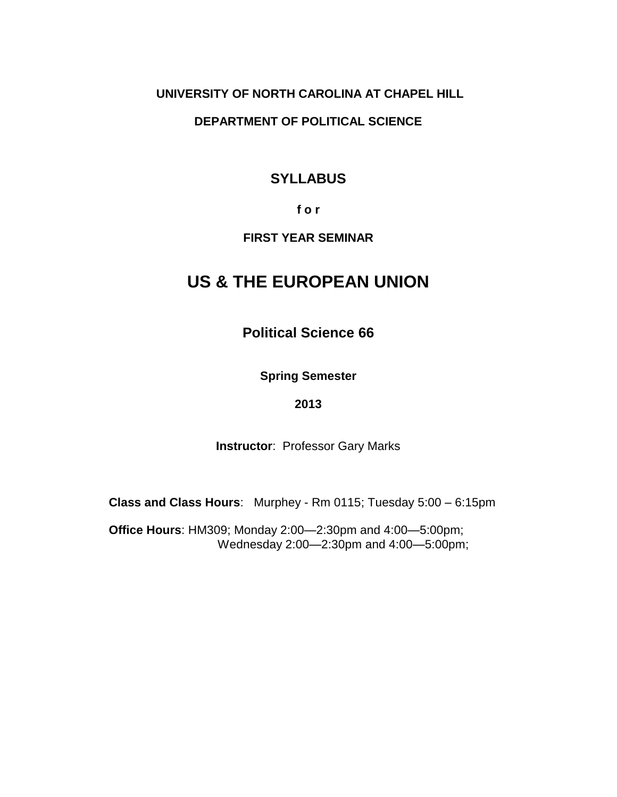#### **UNIVERSITY OF NORTH CAROLINA AT CHAPEL HILL**

#### **DEPARTMENT OF POLITICAL SCIENCE**

# **SYLLABUS**

#### **f o r**

#### **FIRST YEAR SEMINAR**

# **US & THE EUROPEAN UNION**

**Political Science 66**

**Spring Semester**

#### **2013**

**Instructor**: Professor Gary Marks

**Class and Class Hours**: Murphey - Rm 0115; Tuesday 5:00 – 6:15pm

**Office Hours**: HM309; Monday 2:00—2:30pm and 4:00—5:00pm; Wednesday 2:00—2:30pm and 4:00—5:00pm;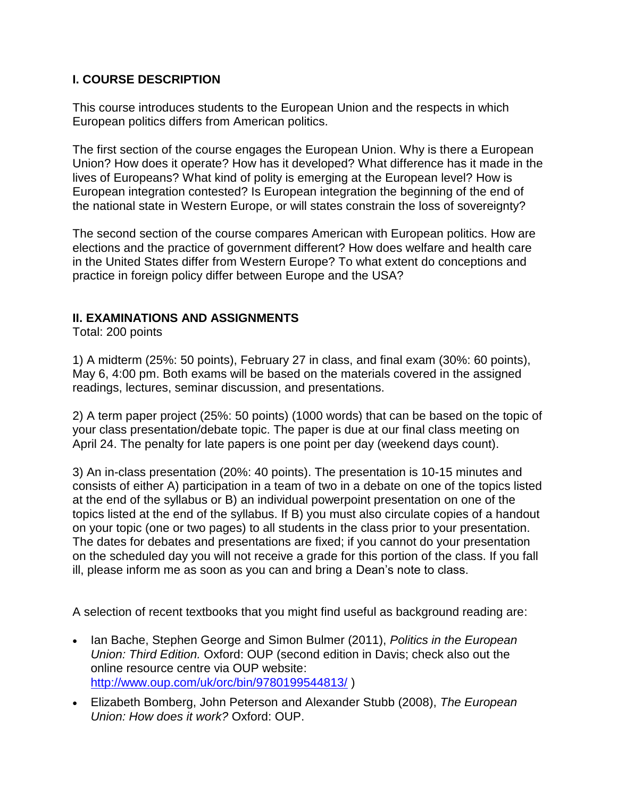### **I. COURSE DESCRIPTION**

This course introduces students to the European Union and the respects in which European politics differs from American politics.

The first section of the course engages the European Union. Why is there a European Union? How does it operate? How has it developed? What difference has it made in the lives of Europeans? What kind of polity is emerging at the European level? How is European integration contested? Is European integration the beginning of the end of the national state in Western Europe, or will states constrain the loss of sovereignty?

The second section of the course compares American with European politics. How are elections and the practice of government different? How does welfare and health care in the United States differ from Western Europe? To what extent do conceptions and practice in foreign policy differ between Europe and the USA?

#### **II. EXAMINATIONS AND ASSIGNMENTS**

Total: 200 points

1) A midterm (25%: 50 points), February 27 in class, and final exam (30%: 60 points), May 6, 4:00 pm. Both exams will be based on the materials covered in the assigned readings, lectures, seminar discussion, and presentations.

2) A term paper project (25%: 50 points) (1000 words) that can be based on the topic of your class presentation/debate topic. The paper is due at our final class meeting on April 24. The penalty for late papers is one point per day (weekend days count).

3) An in-class presentation (20%: 40 points). The presentation is 10-15 minutes and consists of either A) participation in a team of two in a debate on one of the topics listed at the end of the syllabus or B) an individual powerpoint presentation on one of the topics listed at the end of the syllabus. If B) you must also circulate copies of a handout on your topic (one or two pages) to all students in the class prior to your presentation. The dates for debates and presentations are fixed; if you cannot do your presentation on the scheduled day you will not receive a grade for this portion of the class. If you fall ill, please inform me as soon as you can and bring a Dean's note to class.

A selection of recent textbooks that you might find useful as background reading are:

- Ian Bache, Stephen George and Simon Bulmer (2011), *Politics in the European Union: Third Edition.* Oxford: OUP (second edition in Davis; check also out the online resource centre via OUP website: <http://www.oup.com/uk/orc/bin/9780199544813/> )
- Elizabeth Bomberg, John Peterson and Alexander Stubb (2008), *The European Union: How does it work?* Oxford: OUP.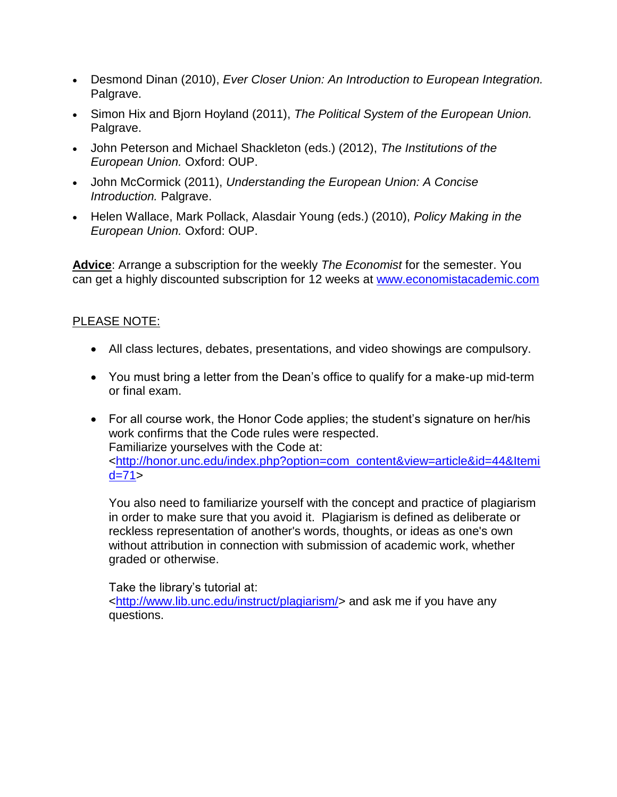- Desmond Dinan (2010), *Ever Closer Union: An Introduction to European Integration.*  Palgrave.
- Simon Hix and Bjorn Hoyland (2011), *The Political System of the European Union.*  Palgrave.
- John Peterson and Michael Shackleton (eds.) (2012), *The Institutions of the European Union.* Oxford: OUP.
- John McCormick (2011), *Understanding the European Union: A Concise Introduction.* Palgrave.
- Helen Wallace, Mark Pollack, Alasdair Young (eds.) (2010), *Policy Making in the European Union.* Oxford: OUP.

**Advice**: Arrange a subscription for the weekly *The Economist* for the semester. You can get a highly discounted subscription for 12 weeks at [www.economistacademic.com](http://www.economistacademic.com/)

#### PLEASE NOTE:

- All class lectures, debates, presentations, and video showings are compulsory.
- You must bring a letter from the Dean's office to qualify for a make-up mid-term or final exam.
- For all course work, the Honor Code applies; the student's signature on her/his work confirms that the Code rules were respected. Familiarize yourselves with the Code at: [<http://honor.unc.edu/index.php?option=com\\_content&view=article&id=44&Itemi](http://honor.unc.edu/index.php?option=com_content&view=article&id=44&Itemid=71)  $d = 71$

You also need to familiarize yourself with the concept and practice of plagiarism in order to make sure that you avoid it. Plagiarism is defined as deliberate or reckless representation of another's words, thoughts, or ideas as one's own without attribution in connection with submission of academic work, whether graded or otherwise.

Take the library's tutorial at: [<http://www.lib.unc.edu/instruct/plagiarism/>](http://www.lib.unc.edu/instruct/plagiarism/) and ask me if you have any questions.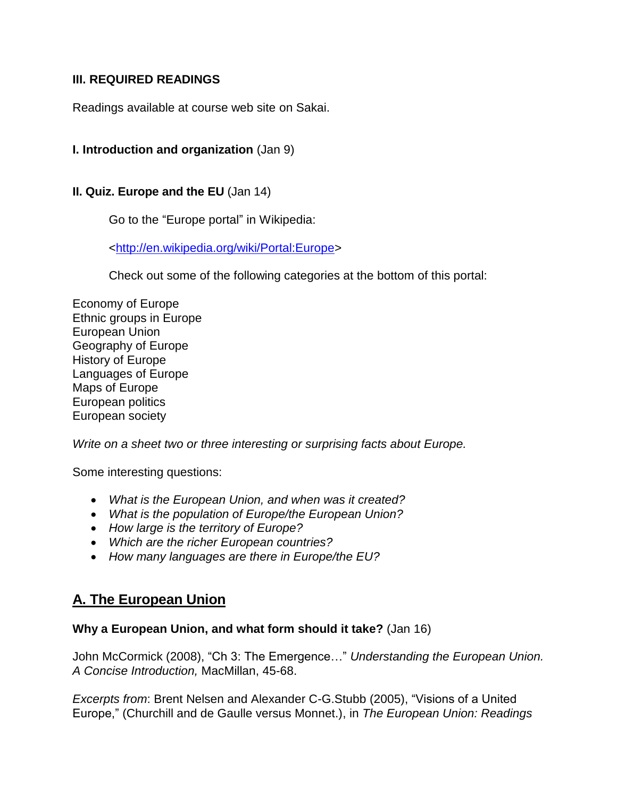#### **III. REQUIRED READINGS**

Readings available at course web site on Sakai.

#### **I. Introduction and organization** (Jan 9)

#### **II. Quiz. Europe and the EU** (Jan 14)

Go to the "Europe portal" in Wikipedia:

[<http://en.wikipedia.org/wiki/Portal:Europe>](http://en.wikipedia.org/wiki/Portal:Europe)

Check out some of the following categories at the bottom of this portal:

Economy of Europe Ethnic groups in Europe European Union Geography of Europe History of Europe Languages of Europe Maps of Europe European politics European society

*Write on a sheet two or three interesting or surprising facts about Europe.*

Some interesting questions:

- *What is the European Union, and when was it created?*
- *What is the population of Europe/the European Union?*
- *How large is the territory of Europe?*
- *Which are the richer European countries?*
- *How many languages are there in Europe/the EU?*

# **A. The European Union**

#### **Why a European Union, and what form should it take?** (Jan 16)

John McCormick (2008), "Ch 3: The Emergence…" *Understanding the European Union. A Concise Introduction,* MacMillan, 45-68.

*Excerpts from*: Brent Nelsen and Alexander C-G.Stubb (2005), "Visions of a United Europe," (Churchill and de Gaulle versus Monnet.), in *The European Union: Readings*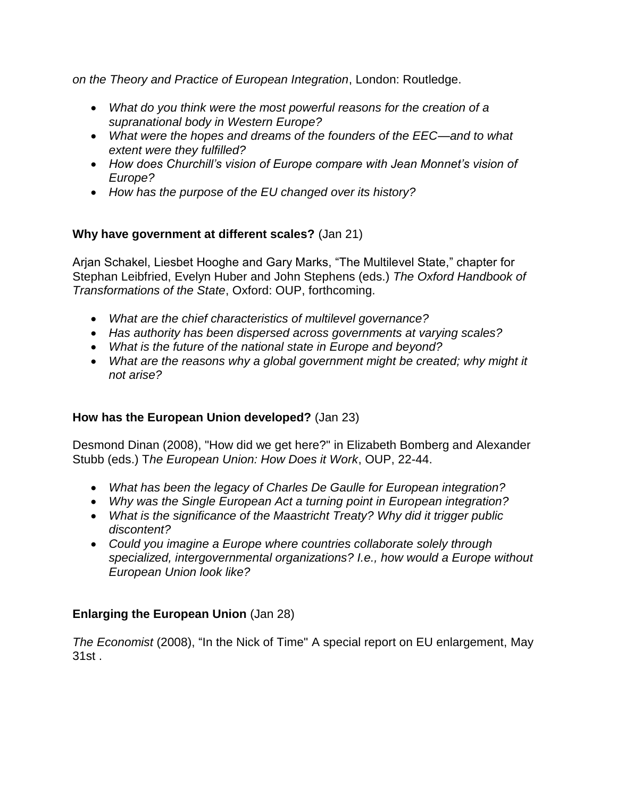*on the Theory and Practice of European Integration*, London: Routledge.

- *What do you think were the most powerful reasons for the creation of a supranational body in Western Europe?*
- *What were the hopes and dreams of the founders of the EEC—and to what extent were they fulfilled?*
- *How does Churchill's vision of Europe compare with Jean Monnet's vision of Europe?*
- *How has the purpose of the EU changed over its history?*

### **Why have government at different scales?** (Jan 21)

Arjan Schakel, Liesbet Hooghe and Gary Marks, "The Multilevel State," chapter for Stephan Leibfried, Evelyn Huber and John Stephens (eds.) *The Oxford Handbook of Transformations of the State*, Oxford: OUP, forthcoming.

- *What are the chief characteristics of multilevel governance?*
- *Has authority has been dispersed across governments at varying scales?*
- *What is the future of the national state in Europe and beyond?*
- What are the reasons why a global government might be created; why might it *not arise?*

# **How has the European Union developed?** (Jan 23)

Desmond Dinan (2008), "How did we get here?" in Elizabeth Bomberg and Alexander Stubb (eds.) T*he European Union: How Does it Work*, OUP, 22-44.

- *What has been the legacy of Charles De Gaulle for European integration?*
- *Why was the Single European Act a turning point in European integration?*
- *What is the significance of the Maastricht Treaty? Why did it trigger public discontent?*
- *Could you imagine a Europe where countries collaborate solely through specialized, intergovernmental organizations? I.e., how would a Europe without European Union look like?*

# **Enlarging the European Union** (Jan 28)

*The Economist* (2008), "In the Nick of Time" A special report on EU enlargement, May 31st .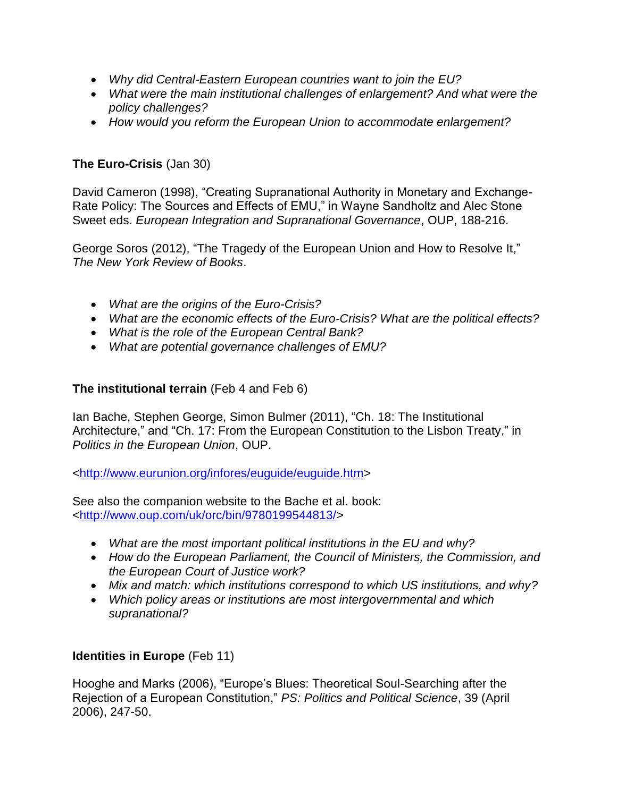- *Why did Central-Eastern European countries want to join the EU?*
- *What were the main institutional challenges of enlargement? And what were the policy challenges?*
- *How would you reform the European Union to accommodate enlargement?*

#### **The Euro-Crisis** (Jan 30)

David Cameron (1998), "Creating Supranational Authority in Monetary and Exchange-Rate Policy: The Sources and Effects of EMU," in Wayne Sandholtz and Alec Stone Sweet eds. *European Integration and Supranational Governance*, OUP, 188-216.

George Soros (2012), "The Tragedy of the European Union and How to Resolve It," *The New York Review of Books*.

- *What are the origins of the Euro-Crisis?*
- *What are the economic effects of the Euro-Crisis? What are the political effects?*
- *What is the role of the European Central Bank?*
- *What are potential governance challenges of EMU?*

#### **The institutional terrain** (Feb 4 and Feb 6)

Ian Bache, Stephen George, Simon Bulmer (2011), "Ch. 18: The Institutional Architecture," and "Ch. 17: From the European Constitution to the Lisbon Treaty," in *Politics in the European Union*, OUP.

[<http://www.eurunion.org/infores/euguide/euguide.htm>](http://www.eurunion.org/infores/euguide/euguide.htm)

See also the companion website to the Bache et al. book: [<http://www.oup.com/uk/orc/bin/9780199544813/>](http://www.oup.com/uk/orc/bin/9780199544813/)

- *What are the most important political institutions in the EU and why?*
- *How do the European Parliament, the Council of Ministers, the Commission, and the European Court of Justice work?*
- *Mix and match: which institutions correspond to which US institutions, and why?*
- *Which policy areas or institutions are most intergovernmental and which supranational?*

#### **Identities in Europe** (Feb 11)

Hooghe and Marks (2006), "Europe's Blues: Theoretical Soul-Searching after the Rejection of a European Constitution," *PS: Politics and Political Science*, 39 (April 2006), 247-50.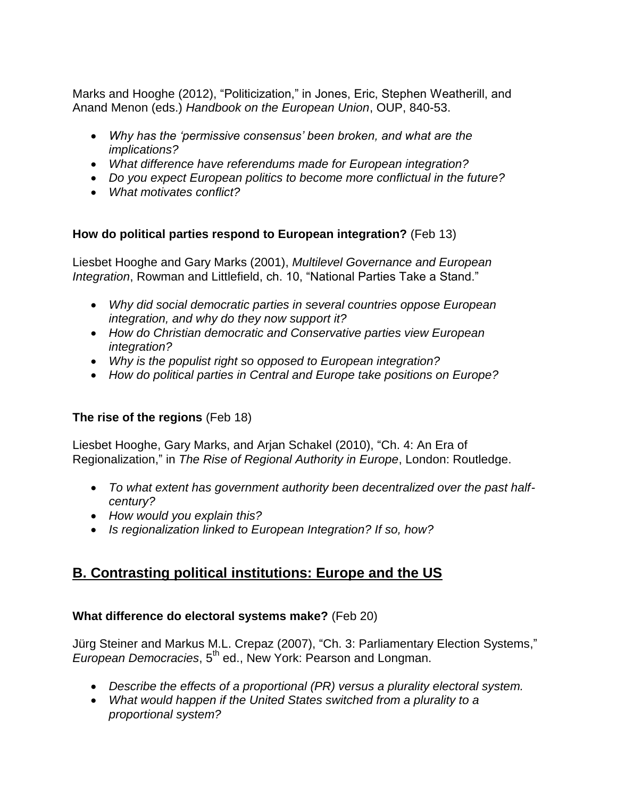Marks and Hooghe (2012), "Politicization," in Jones, Eric, Stephen Weatherill, and Anand Menon (eds.) *Handbook on the European Union*, OUP, 840-53.

- *Why has the 'permissive consensus' been broken, and what are the implications?*
- *What difference have referendums made for European integration?*
- *Do you expect European politics to become more conflictual in the future?*
- *What motivates conflict?*

#### **How do political parties respond to European integration?** (Feb 13)

Liesbet Hooghe and Gary Marks (2001), *Multilevel Governance and European Integration*, Rowman and Littlefield, ch. 10, "National Parties Take a Stand."

- *Why did social democratic parties in several countries oppose European integration, and why do they now support it?*
- *How do Christian democratic and Conservative parties view European integration?*
- *Why is the populist right so opposed to European integration?*
- *How do political parties in Central and Europe take positions on Europe?*

#### **The rise of the regions** (Feb 18)

Liesbet Hooghe, Gary Marks, and Arjan Schakel (2010), "Ch. 4: An Era of Regionalization," in *The Rise of Regional Authority in Europe*, London: Routledge.

- *To what extent has government authority been decentralized over the past halfcentury?*
- *How would you explain this?*
- *Is regionalization linked to European Integration? If so, how?*

# **B. Contrasting political institutions: Europe and the US**

#### **What difference do electoral systems make?** (Feb 20)

Jürg Steiner and Markus M.L. Crepaz (2007), "Ch. 3: Parliamentary Election Systems," *European Democracies*, 5<sup>th</sup> ed., New York: Pearson and Longman.

- *Describe the effects of a proportional (PR) versus a plurality electoral system.*
- *What would happen if the United States switched from a plurality to a proportional system?*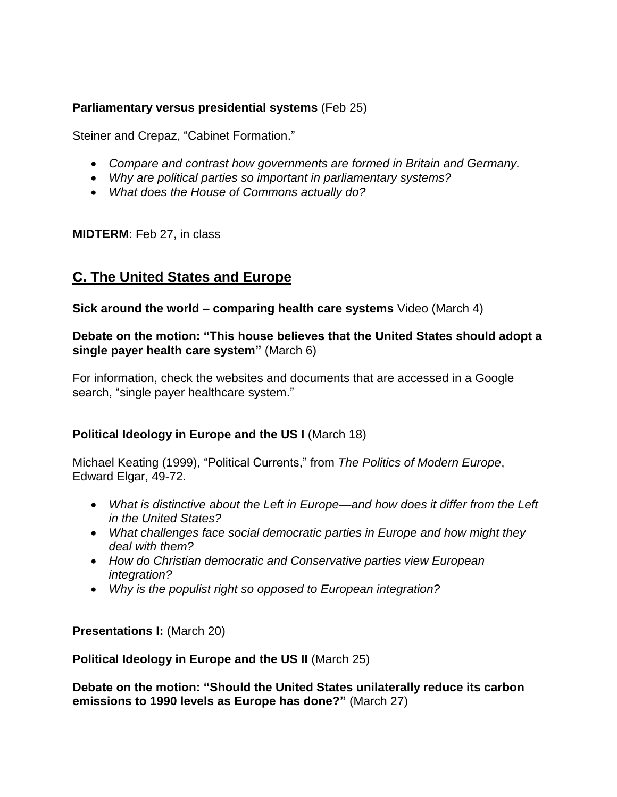#### **Parliamentary versus presidential systems** (Feb 25)

Steiner and Crepaz, "Cabinet Formation."

- *Compare and contrast how governments are formed in Britain and Germany.*
- *Why are political parties so important in parliamentary systems?*
- *What does the House of Commons actually do?*

**MIDTERM**: Feb 27, in class

# **C. The United States and Europe**

**Sick around the world – comparing health care systems** Video (March 4)

#### **Debate on the motion: "This house believes that the United States should adopt a single payer health care system"** (March 6)

For information, check the websites and documents that are accessed in a Google search, "single payer healthcare system."

#### **Political Ideology in Europe and the US I** (March 18)

Michael Keating (1999), "Political Currents," from *The Politics of Modern Europe*, Edward Elgar, 49-72.

- *What is distinctive about the Left in Europe—and how does it differ from the Left in the United States?*
- *What challenges face social democratic parties in Europe and how might they deal with them?*
- *How do Christian democratic and Conservative parties view European integration?*
- *Why is the populist right so opposed to European integration?*

**Presentations I: (March 20)** 

**Political Ideology in Europe and the US II** (March 25)

**Debate on the motion: "Should the United States unilaterally reduce its carbon emissions to 1990 levels as Europe has done?"** (March 27)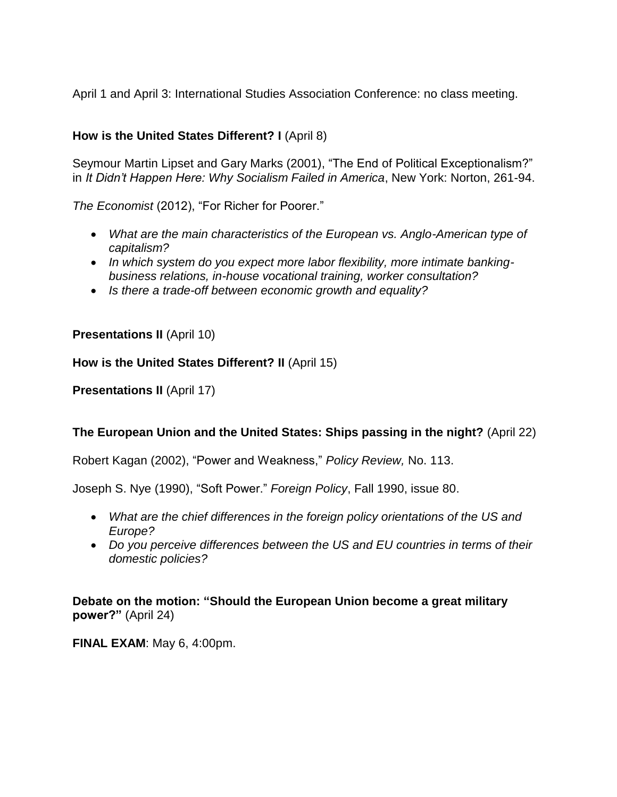April 1 and April 3: International Studies Association Conference: no class meeting.

### **How is the United States Different? I** (April 8)

Seymour Martin Lipset and Gary Marks (2001), "The End of Political Exceptionalism?" in *It Didn't Happen Here: Why Socialism Failed in America*, New York: Norton, 261-94.

*The Economist* (2012), "For Richer for Poorer."

- *What are the main characteristics of the European vs. Anglo-American type of capitalism?*
- *In which system do you expect more labor flexibility, more intimate bankingbusiness relations, in-house vocational training, worker consultation?*
- *Is there a trade-off between economic growth and equality?*

**Presentations II** (April 10)

#### **How is the United States Different? II** (April 15)

**Presentations II (April 17)** 

# **The European Union and the United States: Ships passing in the night?** (April 22)

Robert Kagan (2002), "Power and Weakness," *Policy Review,* No. 113.

Joseph S. Nye (1990), "Soft Power." *Foreign Policy*, Fall 1990, issue 80.

- *What are the chief differences in the foreign policy orientations of the US and Europe?*
- *Do you perceive differences between the US and EU countries in terms of their domestic policies?*

**Debate on the motion: "Should the European Union become a great military power?"** (April 24)

**FINAL EXAM**: May 6, 4:00pm.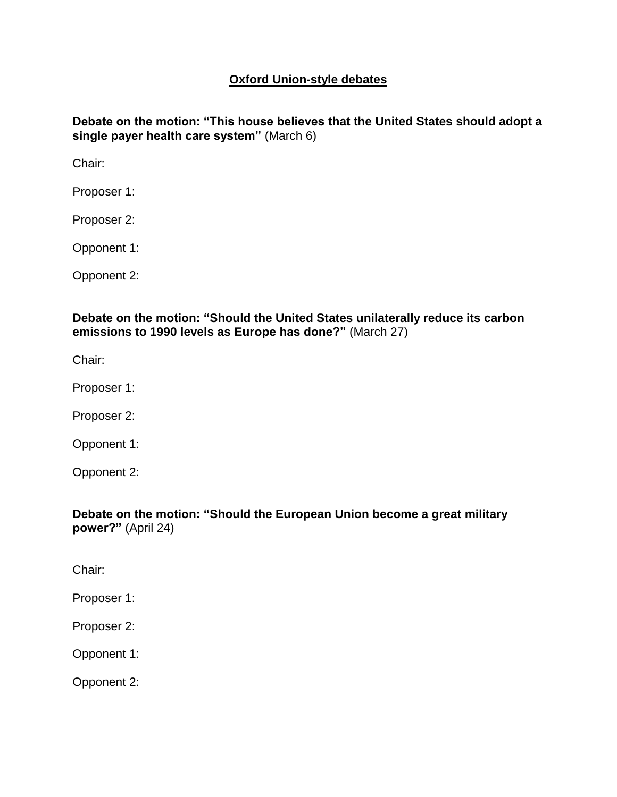#### **Oxford Union-style debates**

**Debate on the motion: "This house believes that the United States should adopt a single payer health care system"** (March 6)

Chair:

Proposer 1:

Proposer 2:

Opponent 1:

Opponent 2:

**Debate on the motion: "Should the United States unilaterally reduce its carbon emissions to 1990 levels as Europe has done?"** (March 27)

Chair:

Proposer 1:

Proposer 2:

Opponent 1:

Opponent 2:

**Debate on the motion: "Should the European Union become a great military power?"** (April 24)

Chair:

Proposer 1:

Proposer 2:

Opponent 1:

Opponent 2: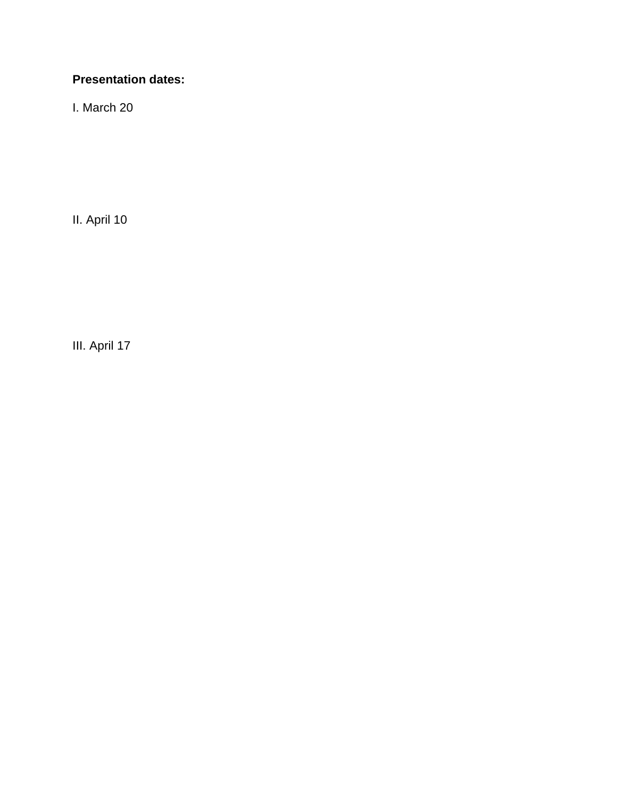# **Presentation dates:**

I. March 20

II. April 10

III. April 17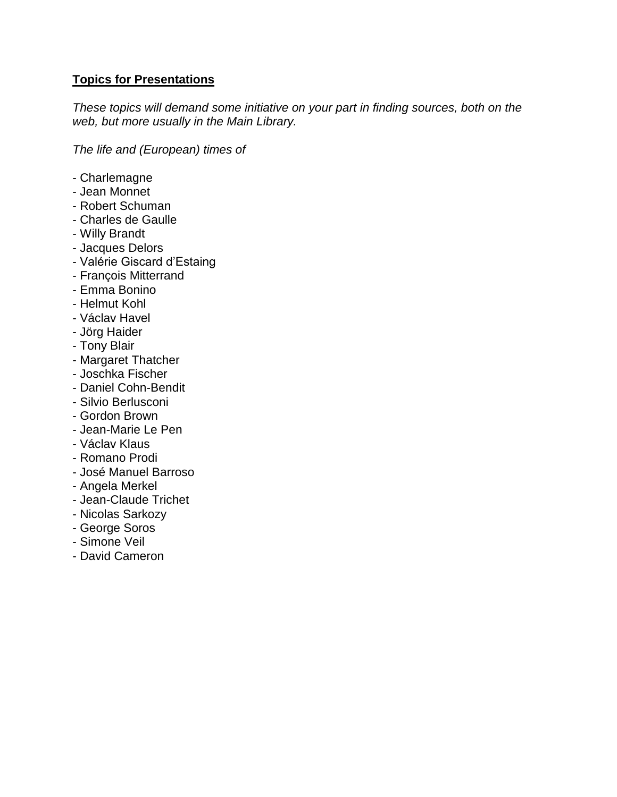#### **Topics for Presentations**

*These topics will demand some initiative on your part in finding sources, both on the web, but more usually in the Main Library.* 

*The life and (European) times of*

- Charlemagne
- Jean Monnet
- Robert Schuman
- Charles de Gaulle
- Willy Brandt
- Jacques Delors
- Valérie Giscard d'Estaing
- François Mitterrand
- Emma Bonino
- Helmut Kohl
- Václav Havel
- Jörg Haider
- Tony Blair
- Margaret Thatcher
- Joschka Fischer
- Daniel Cohn-Bendit
- Silvio Berlusconi
- Gordon Brown
- Jean-Marie Le Pen
- Václav Klaus
- Romano Prodi
- José Manuel Barroso
- Angela Merkel
- Jean-Claude Trichet
- Nicolas Sarkozy
- George Soros
- Simone Veil
- David Cameron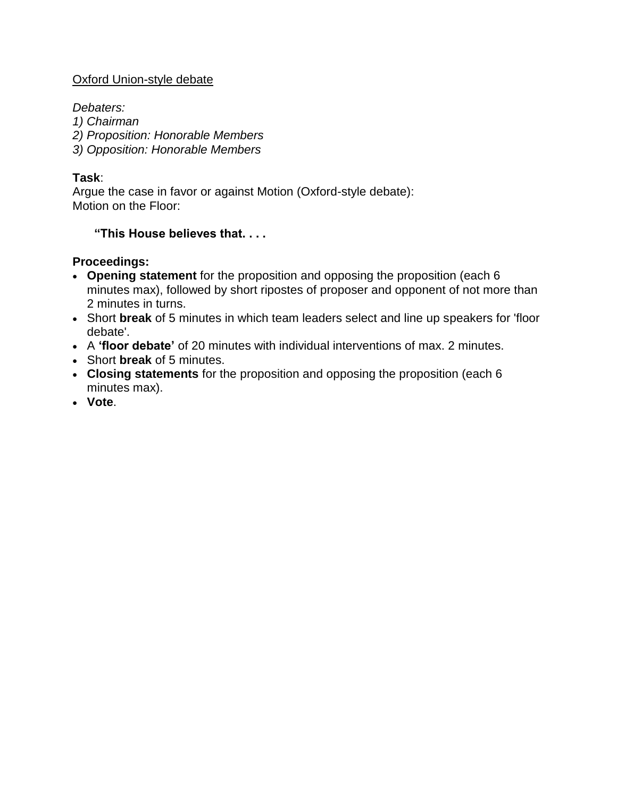#### Oxford Union-style debate

*Debaters:*

*1) Chairman*

- *2) Proposition: Honorable Members*
- *3) Opposition: Honorable Members*

#### **Task**:

Argue the case in favor or against Motion (Oxford-style debate): Motion on the Floor:

#### **"This House believes that. . . .**

#### **Proceedings:**

- **Opening statement** for the proposition and opposing the proposition (each 6 minutes max), followed by short ripostes of proposer and opponent of not more than 2 minutes in turns.
- Short **break** of 5 minutes in which team leaders select and line up speakers for 'floor debate'.
- A **'floor debate'** of 20 minutes with individual interventions of max. 2 minutes.
- Short **break** of 5 minutes.
- **Closing statements** for the proposition and opposing the proposition (each 6 minutes max).
- **Vote**.